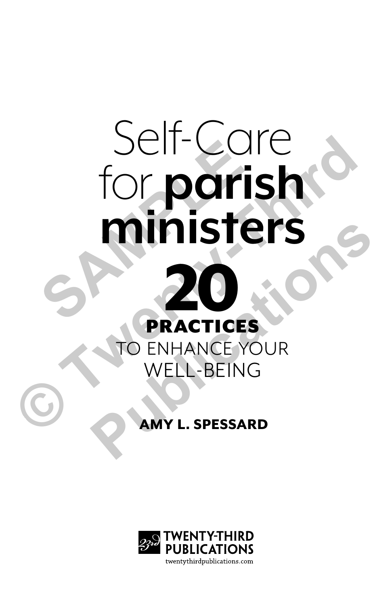# Self-Care for **parish ministers SEIL-COTE**<br> **SAMPLE PRACTICES**<br> **CORACTICES**<br> **CORACTICES**



### AMY L. SPESSARD

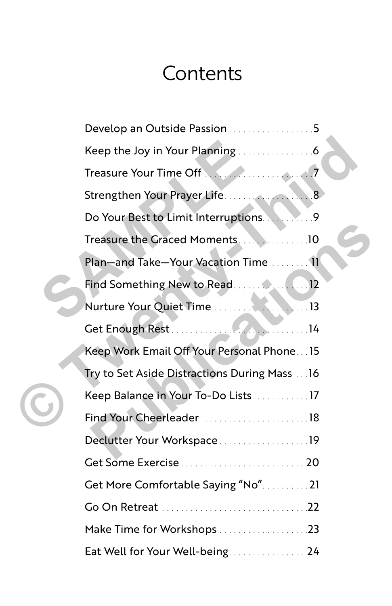# **Contents**

|  | Develop an Outside Passion5                   |
|--|-----------------------------------------------|
|  |                                               |
|  |                                               |
|  | Strengthen Your Prayer Life8                  |
|  |                                               |
|  | Treasure the Graced Moments10                 |
|  | Plan-and Take-Your Vacation Time 11           |
|  |                                               |
|  |                                               |
|  |                                               |
|  | Keep Work Email Off Your Personal Phone 15    |
|  | Try to Set Aside Distractions During Mass  16 |
|  | Keep Balance in Your To-Do Lists17            |
|  | Find Your Cheerleader 18                      |
|  | Declutter Your Workspace19                    |
|  |                                               |
|  | Get More Comfortable Saying "No"21            |
|  |                                               |
|  | Make Time for Workshops23                     |
|  | Eat Well for Your Well-being 24               |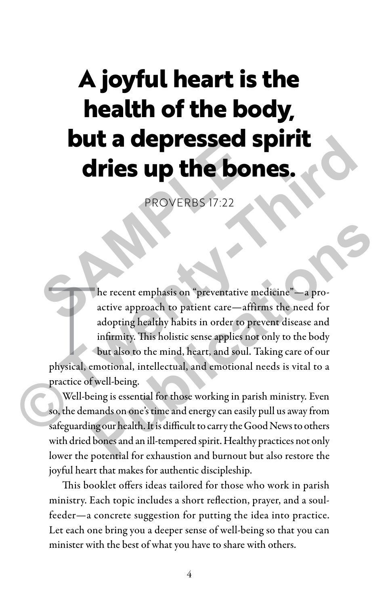# **A joyful heart is the health of the body, but a depressed spirit dries up the bones. Sure dries up the bor<br>
PROVERBS 17:22<br>
PROVERBS 17:22<br>
A he recent emphasis on "preventative mactive approach to patient care—affire**

PROVERBS 17:22

he recent emphasis on "preventative medicine"—a pro-<br>active approach to patient care—affirms the need for<br>adopting healthy habits in order to prevent disease and<br>infirmity. This holistic sense applies not only to the body<br> he recent emphasis on "preventative medicine"—a proactive approach to patient care—affirms the need for adopting healthy habits in order to prevent disease and infirmity. This holistic sense applies not only to the body but also to the mind, heart, and soul. Taking care of our practice of well-being. **CHANGE SUP THE BONES.**<br>
PROVERBS 17:22<br>
PROVERBS 17:22<br>
PROVERBS 17:22<br>
PROVERBS 17:22<br>
PROVERBS 17:22<br>
PROVERBS 17:22<br>
PROVERBS 17:22<br>
This holistic are meaning the need for<br>
adopting healthly habits in order to prevent **Publication Publication Publication Publication Publication Publication Publication Publication Publication Publication Publication Publication Publication Publication Publication Publication** 

Well-being is essential for those working in parish ministry. Even so, the demands on one's time and energy can easily pull us away from safeguarding our health. It is difficult to carry the Good News to others with dried bones and an ill-tempered spirit. Healthy practices not only lower the potential for exhaustion and burnout but also restore the joyful heart that makes for authentic discipleship.

This booklet offers ideas tailored for those who work in parish ministry. Each topic includes a short reflection, prayer, and a soulfeeder—a concrete suggestion for putting the idea into practice. Let each one bring you a deeper sense of well-being so that you can minister with the best of what you have to share with others.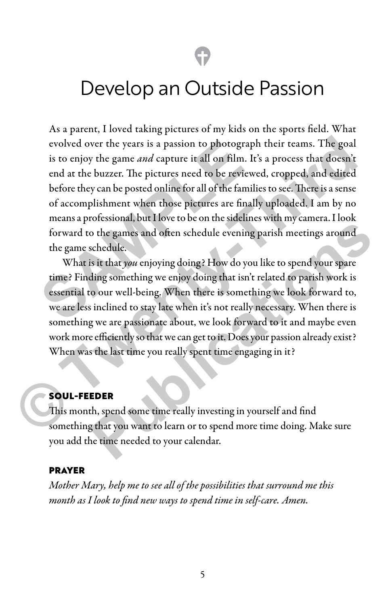## Develop an Outside Passion

As a parent, I loved taking pictures of my kids on the sports field. What evolved over the years is a passion to photograph their teams. The goal is to enjoy the game *and* capture it all on film. It's a process that doesn't end at the buzzer. The pictures need to be reviewed, cropped, and edited before they can be posted online for all of the families to see. There is a sense of accomplishment when those pictures are finally uploaded. I am by no means a professional, but I love to be on the sidelines with my camera. I look forward to the games and often schedule evening parish meetings around the game schedule. evolved over the years is a passion to photograph<br>is to enjoy the game *and* capture it all on film. It's<br>end at the buzzer. The pictures need to be reviewe<br>before they can be posted online for all of the famili<br>of accompl evolved over the years is a passion to photograph their teams. The goal<br>is to enjoy the game *and* capture it all on film. It's a process that doesn't<br>end at the buzzer. The pictures need to be reviewed, cropped, and edite

What is it that *you* enjoying doing? How do you like to spend your spare time? Finding something we enjoy doing that isn't related to parish work is essential to our well-being. When there is something we look forward to, we are less inclined to stay late when it's not really necessary. When there is something we are passionate about, we look forward to it and maybe even work more efficiently so that we can get to it. Does your passion already exist? When was the last time you really spent time engaging in it? **Publication** of the scheme state of the scheme state of the games and often schedule evening parish meetings around schedule.<br> **Public is it that you** enjoying doing? How do you like to spend your spare ding something we

#### SOUL-FEEDER

This month, spend some time really investing in yourself and find something that you want to learn or to spend more time doing. Make sure you add the time needed to your calendar.

#### PRAYER

*Mother Mary, help me to see all of the possibilities that surround me this month as I look to find new ways to spend time in self-care. Amen.*